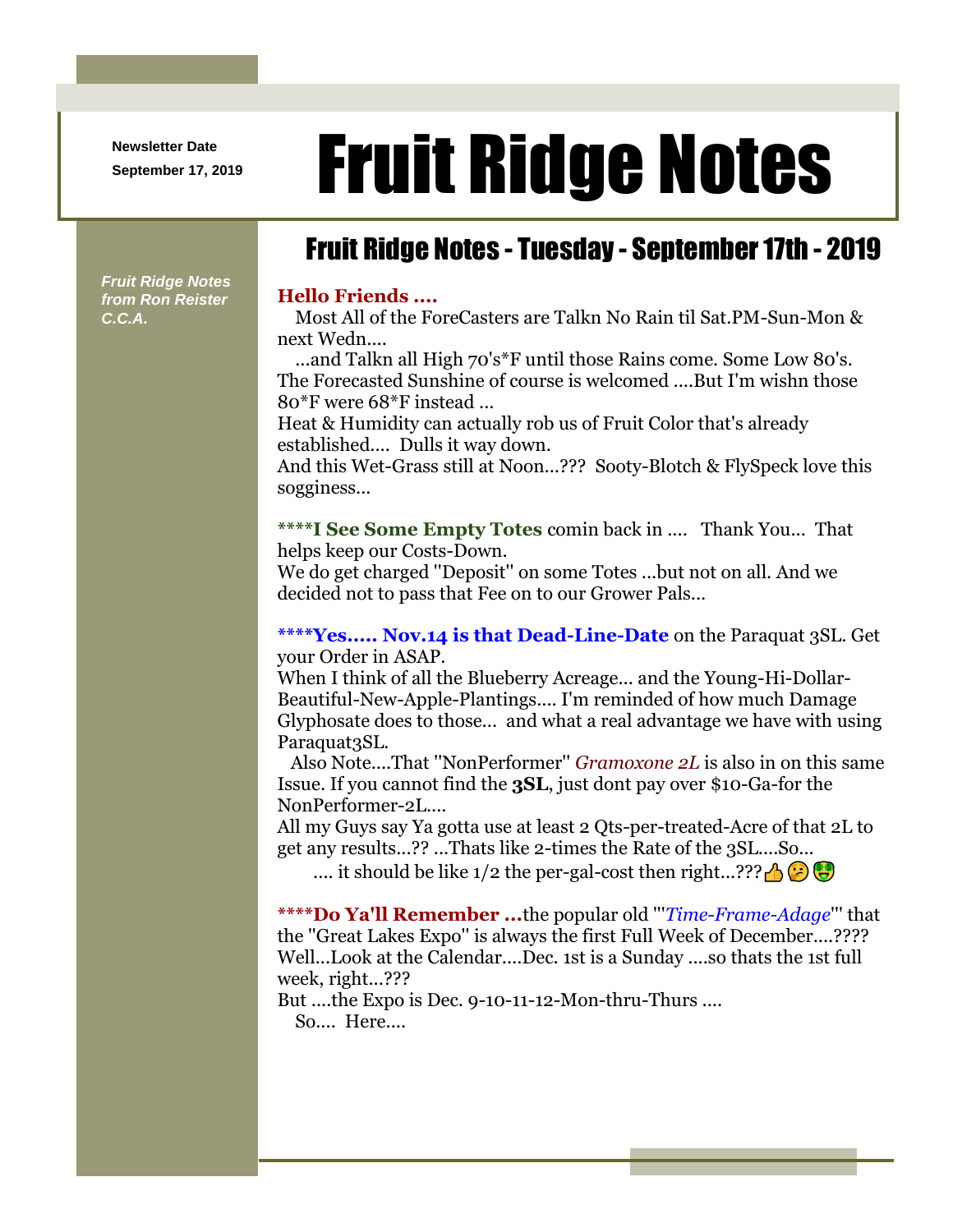**Newsletter Date**

## Newsletter Date **Fruit Ridge Notes**

## Fruit Ridge Notes - Tuesday - September 17th - 2019

*Fruit Ridge Notes from Ron Reister C.C.A.*

## **Hello Friends ....**

Most All of the ForeCasters are Talkn No Rain til Sat.PM-Sun-Mon & next Wedn....

...and Talkn all High 70's\*F until those Rains come. Some Low 80's. The Forecasted Sunshine of course is welcomed ....But I'm wishn those 80\*F were 68\*F instead ...

Heat & Humidity can actually rob us of Fruit Color that's already established.... Dulls it way down.

And this Wet-Grass still at Noon...??? Sooty-Blotch & FlySpeck love this sogginess...

**\*\*\*\*I See Some Empty Totes** comin back in .... Thank You... That helps keep our Costs-Down.

We do get charged ''Deposit'' on some Totes ...but not on all. And we decided not to pass that Fee on to our Grower Pals...

**\*\*\*\*Yes..... Nov.14 is that Dead-Line-Date** on the Paraquat 3SL. Get your Order in ASAP.

When I think of all the Blueberry Acreage... and the Young-Hi-Dollar-Beautiful-New-Apple-Plantings.... I'm reminded of how much Damage Glyphosate does to those... and what a real advantage we have with using Paraquat<sub>3SL</sub>.

Also Note....That ''NonPerformer'' *Gramoxone 2L* is also in on this same Issue. If you cannot find the **3SL**, just dont pay over \$10-Ga-for the NonPerformer-2L....

All my Guys say Ya gotta use at least 2 Qts-per-treated-Acre of that 2L to get any results...?? ...Thats like 2-times the Rate of the 3SL....So...

.... it should be like  $1/2$  the per-gal-cost then right...???

**\*\*\*\*Do Ya'll Remember ...**the popular old '''*Time-Frame-Adage*''' that the ''Great Lakes Expo'' is always the first Full Week of December....???? Well...Look at the Calendar....Dec. 1st is a Sunday ....so thats the 1st full week, right...???

But ....the Expo is Dec. 9-10-11-12-Mon-thru-Thurs ....

So.... Here....